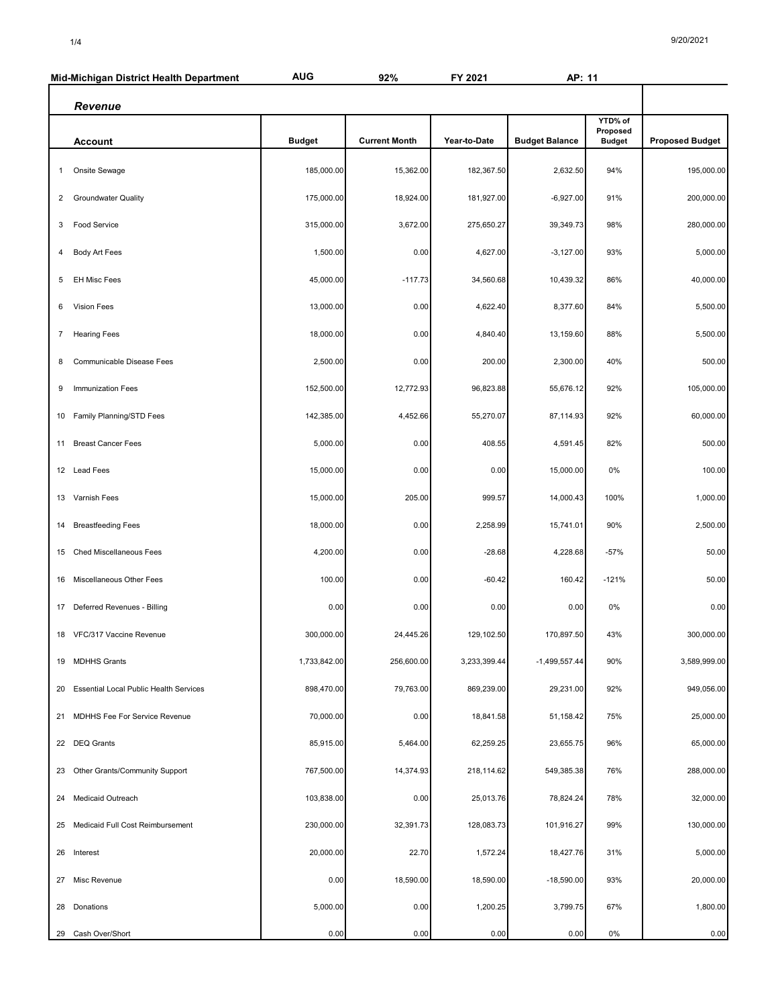|                | Mid-Michigan District Health Department | <b>AUG</b>    | 92%                  | FY 2021      | AP: 11                |                                      |                        |
|----------------|-----------------------------------------|---------------|----------------------|--------------|-----------------------|--------------------------------------|------------------------|
| Revenue        |                                         |               |                      |              |                       |                                      |                        |
|                | <b>Account</b>                          | <b>Budget</b> | <b>Current Month</b> | Year-to-Date | <b>Budget Balance</b> | YTD% of<br>Proposed<br><b>Budget</b> | <b>Proposed Budget</b> |
| 1              | Onsite Sewage                           | 185,000.00    | 15,362.00            | 182,367.50   | 2,632.50              | 94%                                  | 195,000.00             |
| $\overline{2}$ | <b>Groundwater Quality</b>              | 175,000.00    | 18,924.00            | 181,927.00   | $-6,927.00$           | 91%                                  | 200,000.00             |
| 3              | <b>Food Service</b>                     | 315,000.00    | 3,672.00             | 275,650.27   | 39,349.73             | 98%                                  | 280,000.00             |
| 4              | Body Art Fees                           | 1,500.00      | 0.00                 | 4,627.00     | $-3,127.00$           | 93%                                  | 5,000.00               |
| 5              | <b>EH Misc Fees</b>                     | 45,000.00     | $-117.73$            | 34,560.68    | 10,439.32             | 86%                                  | 40,000.00              |
| 6              | <b>Vision Fees</b>                      | 13,000.00     | 0.00                 | 4,622.40     | 8,377.60              | 84%                                  | 5,500.00               |
| $\overline{7}$ | <b>Hearing Fees</b>                     | 18,000.00     | 0.00                 | 4,840.40     | 13,159.60             | 88%                                  | 5,500.00               |
| 8              | Communicable Disease Fees               | 2,500.00      | 0.00                 | 200.00       | 2,300.00              | 40%                                  | 500.00                 |
| 9              | Immunization Fees                       | 152,500.00    | 12,772.93            | 96,823.88    | 55,676.12             | 92%                                  | 105,000.00             |
|                | 10 Family Planning/STD Fees             | 142,385.00    | 4,452.66             | 55,270.07    | 87,114.93             | 92%                                  | 60,000.00              |
| 11             | <b>Breast Cancer Fees</b>               | 5,000.00      | 0.00                 | 408.55       | 4,591.45              | 82%                                  | 500.00                 |
|                | 12 Lead Fees                            | 15,000.00     | 0.00                 | 0.00         | 15,000.00             | 0%                                   | 100.00                 |
| 13             | Varnish Fees                            | 15,000.00     | 205.00               | 999.57       | 14,000.43             | 100%                                 | 1,000.00               |
| 14             | <b>Breastfeeding Fees</b>               | 18,000.00     | 0.00                 | 2,258.99     | 15,741.01             | 90%                                  | 2,500.00               |
| 15             | Ched Miscellaneous Fees                 | 4,200.00      | 0.00                 | $-28.68$     | 4,228.68              | $-57%$                               | 50.00                  |
| 16             | Miscellaneous Other Fees                | 100.00        | 0.00                 | $-60.42$     | 160.42                | $-121%$                              | 50.00                  |
|                | 17 Deferred Revenues - Billing          | 0.00          | 0.00                 | 0.00         | 0.00                  | 0%                                   | 0.00                   |
|                | 18 VFC/317 Vaccine Revenue              | 300,000.00    | 24,445.26            | 129,102.50   | 170,897.50            | 43%                                  | 300,000.00             |
|                | 19 MDHHS Grants                         | 1,733,842.00  | 256,600.00           | 3,233,399.44 | $-1,499,557.44$       | 90%                                  | 3,589,999.00           |
| 20             | Essential Local Public Health Services  | 898,470.00    | 79,763.00            | 869,239.00   | 29,231.00             | 92%                                  | 949,056.00             |
| 21             | MDHHS Fee For Service Revenue           | 70,000.00     | 0.00                 | 18,841.58    | 51,158.42             | 75%                                  | 25,000.00              |
|                | 22 DEQ Grants                           | 85,915.00     | 5,464.00             | 62,259.25    | 23,655.75             | 96%                                  | 65,000.00              |
| 23             | Other Grants/Community Support          | 767,500.00    | 14,374.93            | 218,114.62   | 549,385.38            | 76%                                  | 288,000.00             |
| 24             | Medicaid Outreach                       | 103,838.00    | 0.00                 | 25,013.76    | 78,824.24             | 78%                                  | 32,000.00              |
| 25             | Medicaid Full Cost Reimbursement        | 230,000.00    | 32,391.73            | 128,083.73   | 101,916.27            | 99%                                  | 130,000.00             |
|                | 26 Interest                             | 20,000.00     | 22.70                | 1,572.24     | 18,427.76             | 31%                                  | 5,000.00               |
| 27             | Misc Revenue                            | 0.00          | 18,590.00            | 18,590.00    | $-18,590.00$          | 93%                                  | 20,000.00              |
| 28             | Donations                               | 5,000.00      | 0.00                 | 1,200.25     | 3,799.75              | 67%                                  | 1,800.00               |
|                | 29 Cash Over/Short                      | 0.00          | 0.00                 | 0.00         | 0.00                  | 0%                                   | 0.00                   |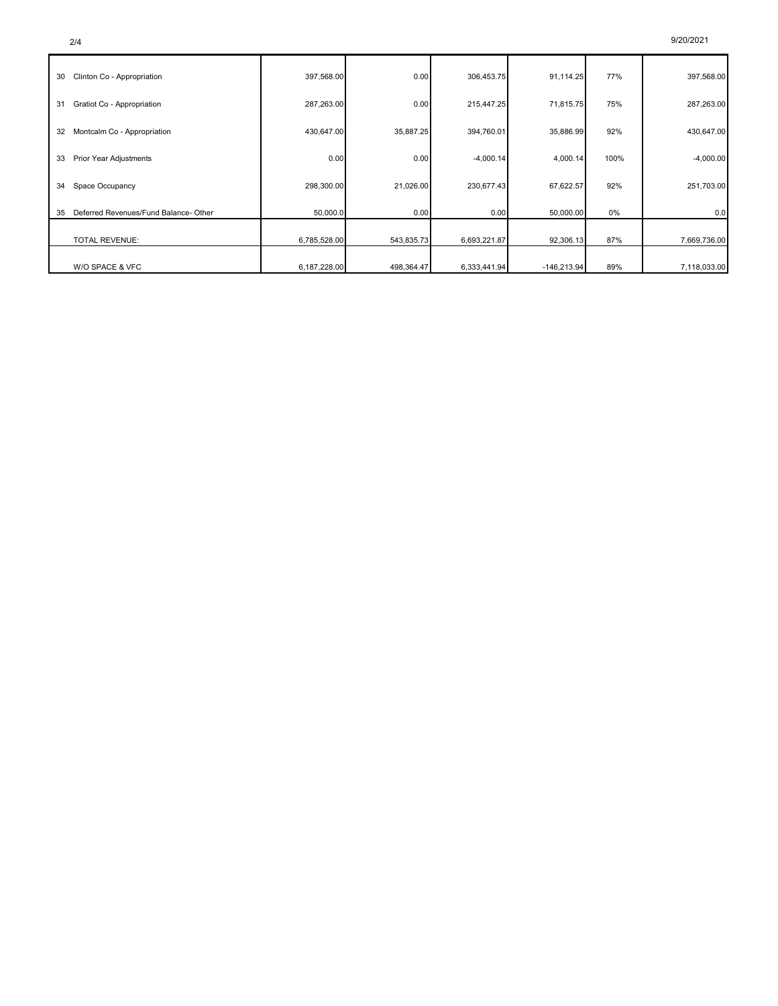| 30 | Clinton Co - Appropriation            | 397,568.00   | 0.00       | 306,453.75   | 91,114.25     | 77%  | 397,568.00   |
|----|---------------------------------------|--------------|------------|--------------|---------------|------|--------------|
| 31 | Gratiot Co - Appropriation            | 287,263.00   | 0.00       | 215,447.25   | 71,815.75     | 75%  | 287,263.00   |
| 32 | Montcalm Co - Appropriation           | 430,647.00   | 35,887.25  | 394,760.01   | 35,886.99     | 92%  | 430,647.00   |
| 33 | Prior Year Adjustments                | 0.00         | 0.00       | $-4,000.14$  | 4,000.14      | 100% | $-4,000.00$  |
| 34 | Space Occupancy                       | 298,300.00   | 21,026.00  | 230,677.43   | 67,622.57     | 92%  | 251,703.00   |
| 35 | Deferred Revenues/Fund Balance- Other | 50,000.0     | 0.00       | 0.00         | 50,000.00     | 0%   | 0.0          |
|    |                                       |              |            |              |               |      |              |
|    | <b>TOTAL REVENUE:</b>                 | 6,785,528.00 | 543,835.73 | 6,693,221.87 | 92,306.13     | 87%  | 7,669,736.00 |
|    | W/O SPACE & VFC                       | 6,187,228.00 | 498,364.47 | 6,333,441.94 | $-146,213.94$ | 89%  | 7,118,033.00 |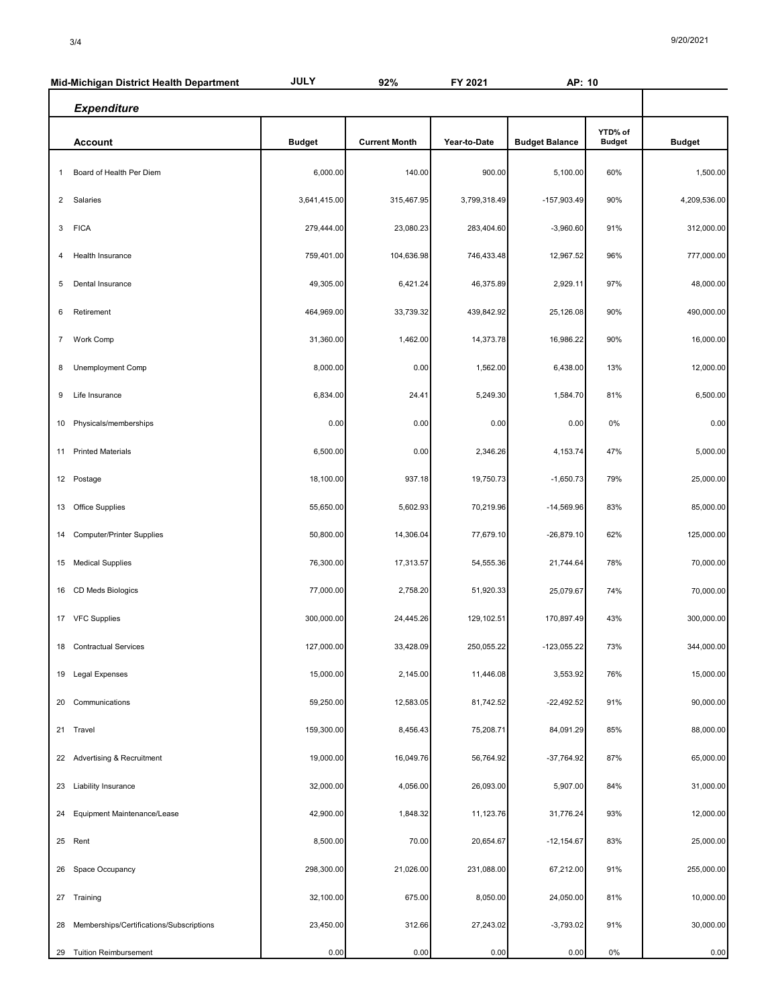|                | Mid-Michigan District Health Department  | <b>JULY</b>   | 92%                  | FY 2021      | AP: 10                |                          |               |
|----------------|------------------------------------------|---------------|----------------------|--------------|-----------------------|--------------------------|---------------|
|                | <b>Expenditure</b>                       |               |                      |              |                       |                          |               |
|                | <b>Account</b>                           | <b>Budget</b> | <b>Current Month</b> | Year-to-Date | <b>Budget Balance</b> | YTD% of<br><b>Budget</b> | <b>Budget</b> |
| 1              | Board of Health Per Diem                 | 6,000.00      | 140.00               | 900.00       | 5,100.00              | 60%                      | 1,500.00      |
| 2              | Salaries                                 | 3,641,415.00  | 315,467.95           | 3,799,318.49 | -157,903.49           | 90%                      | 4,209,536.00  |
| 3              | <b>FICA</b>                              | 279,444.00    | 23,080.23            | 283,404.60   | $-3,960.60$           | 91%                      | 312,000.00    |
| 4              | Health Insurance                         | 759,401.00    | 104,636.98           | 746,433.48   | 12,967.52             | 96%                      | 777,000.00    |
| 5              | Dental Insurance                         | 49,305.00     | 6,421.24             | 46,375.89    | 2,929.11              | 97%                      | 48,000.00     |
| 6              | Retirement                               | 464,969.00    | 33,739.32            | 439,842.92   | 25,126.08             | 90%                      | 490,000.00    |
| $\overline{7}$ | <b>Work Comp</b>                         | 31,360.00     | 1,462.00             | 14,373.78    | 16,986.22             | 90%                      | 16,000.00     |
| 8              | Unemployment Comp                        | 8,000.00      | 0.00                 | 1,562.00     | 6,438.00              | 13%                      | 12,000.00     |
| 9              | Life Insurance                           | 6,834.00      | 24.41                | 5,249.30     | 1,584.70              | 81%                      | 6,500.00      |
| 10             | Physicals/memberships                    | 0.00          | 0.00                 | 0.00         | 0.00                  | 0%                       | 0.00          |
| 11             | <b>Printed Materials</b>                 | 6,500.00      | 0.00                 | 2,346.26     | 4,153.74              | 47%                      | 5,000.00      |
|                | 12 Postage                               | 18,100.00     | 937.18               | 19,750.73    | $-1,650.73$           | 79%                      | 25,000.00     |
| 13             | <b>Office Supplies</b>                   | 55,650.00     | 5,602.93             | 70,219.96    | $-14,569.96$          | 83%                      | 85,000.00     |
| 14             | <b>Computer/Printer Supplies</b>         | 50,800.00     | 14,306.04            | 77,679.10    | $-26,879.10$          | 62%                      | 125,000.00    |
| 15             | <b>Medical Supplies</b>                  | 76,300.00     | 17,313.57            | 54,555.36    | 21,744.64             | 78%                      | 70,000.00     |
|                | 16 CD Meds Biologics                     | 77,000.00     | 2,758.20             | 51,920.33    | 25,079.67             | 74%                      | 70,000.00     |
|                | 17 VFC Supplies                          | 300,000.00    | 24,445.26            | 129,102.51   | 170,897.49            | 43%                      | 300,000.00    |
|                | 18 Contractual Services                  | 127,000.00    | 33,428.09            | 250,055.22   | $-123,055.22$         | 73%                      | 344,000.00    |
|                | 19 Legal Expenses                        | 15,000.00     | 2,145.00             | 11,446.08    | 3,553.92              | 76%                      | 15,000.00     |
| 20             | Communications                           | 59,250.00     | 12,583.05            | 81,742.52    | $-22,492.52$          | 91%                      | 90,000.00     |
|                | 21 Travel                                | 159,300.00    | 8,456.43             | 75,208.71    | 84,091.29             | 85%                      | 88,000.00     |
|                | 22 Advertising & Recruitment             | 19,000.00     | 16,049.76            | 56,764.92    | -37,764.92            | 87%                      | 65,000.00     |
| 23             | Liability Insurance                      | 32,000.00     | 4,056.00             | 26,093.00    | 5,907.00              | 84%                      | 31,000.00     |
|                | 24 Equipment Maintenance/Lease           | 42,900.00     | 1,848.32             | 11,123.76    | 31,776.24             | 93%                      | 12,000.00     |
|                | 25 Rent                                  | 8,500.00      | 70.00                | 20,654.67    | $-12, 154.67$         | 83%                      | 25,000.00     |
| 26             | Space Occupancy                          | 298,300.00    | 21,026.00            | 231,088.00   | 67,212.00             | 91%                      | 255,000.00    |
|                | 27 Training                              | 32,100.00     | 675.00               | 8,050.00     | 24,050.00             | 81%                      | 10,000.00     |
| 28             | Memberships/Certifications/Subscriptions | 23,450.00     | 312.66               | 27,243.02    | $-3,793.02$           | 91%                      | 30,000.00     |
| 29             | <b>Tuition Reimbursement</b>             | 0.00          | 0.00                 | 0.00         | 0.00                  | 0%                       | 0.00          |